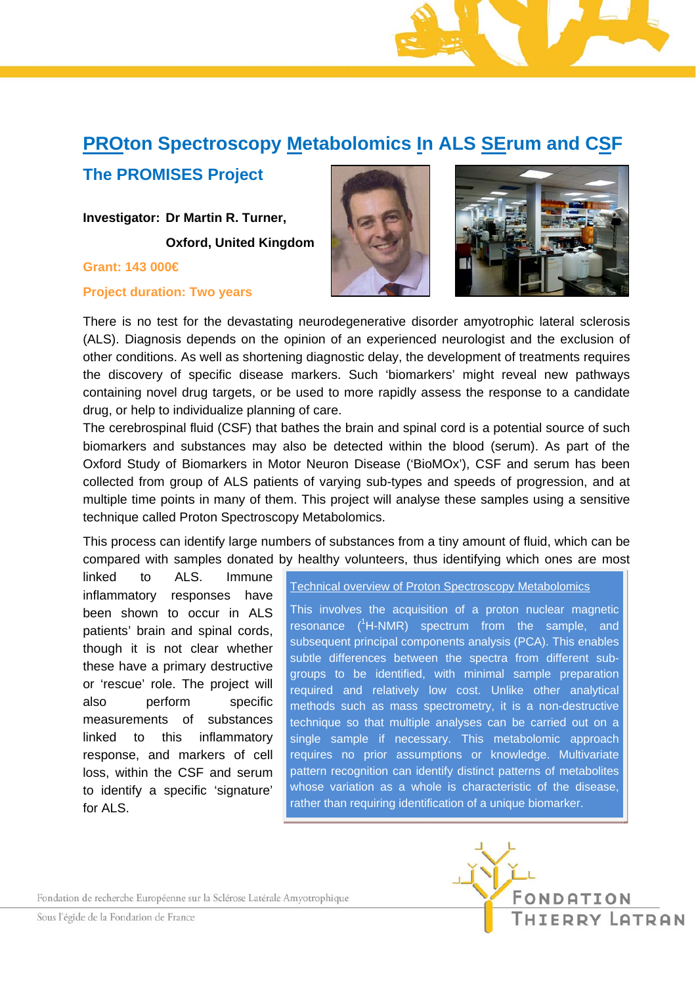## **PROton Spectroscopy Metabolomics In ALS SErum and CSF**

## **The PROMISES Project**

**Investigator: Dr Martin R. Turner, Oxford, United Kingdom** 

**Grant: 143 000€** 

**Project duration: Two years** 





There is no test for the devastating neurodegenerative disorder amyotrophic lateral sclerosis (ALS). Diagnosis depends on the opinion of an experienced neurologist and the exclusion of other conditions. As well as shortening diagnostic delay, the development of treatments requires the discovery of specific disease markers. Such 'biomarkers' might reveal new pathways containing novel drug targets, or be used to more rapidly assess the response to a candidate drug, or help to individualize planning of care.

The cerebrospinal fluid (CSF) that bathes the brain and spinal cord is a potential source of such biomarkers and substances may also be detected within the blood (serum). As part of the Oxford Study of Biomarkers in Motor Neuron Disease ('BioMOx'), CSF and serum has been collected from group of ALS patients of varying sub-types and speeds of progression, and at multiple time points in many of them. This project will analyse these samples using a sensitive technique called Proton Spectroscopy Metabolomics.

This process can identify large numbers of substances from a tiny amount of fluid, which can be compared with samples donated by healthy volunteers, thus identifying which ones are most

linked to ALS. Immune inflammatory responses have been shown to occur in ALS patients' brain and spinal cords, though it is not clear whether these have a primary destructive or 'rescue' role. The project will also perform specific measurements of substances linked to this inflammatory response, and markers of cell loss, within the CSF and serum to identify a specific 'signature' for ALS.

Technical overview of Proton Spectroscopy Metabolomics

This involves the acquisition of a proton nuclear magnetic resonance  $(^1H\text{-}NMR)$  spectrum from the sample, and subsequent principal components analysis (PCA). This enables subtle differences between the spectra from different subgroups to be identified, with minimal sample preparation required and relatively low cost. Unlike other analytical methods such as mass spectrometry, it is a non-destructive technique so that multiple analyses can be carried out on a single sample if necessary. This metabolomic approach requires no prior assumptions or knowledge. Multivariate pattern recognition can identify distinct patterns of metabolites whose variation as a whole is characteristic of the disease, rather than requiring identification of a unique biomarker.

Fondation de recherche Européenne sur la Sclérose Latérale Amyotrophique

Sous l'égide de la Fondation de France